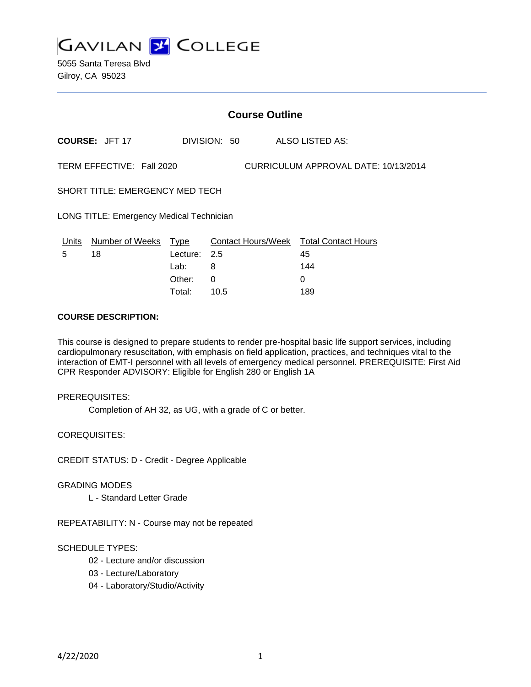

### **Course Outline**

**COURSE:** JFT 17 DIVISION: 50 ALSO LISTED AS:

TERM EFFECTIVE: Fall 2020 CURRICULUM APPROVAL DATE: 10/13/2014

SHORT TITLE: EMERGENCY MED TECH

LONG TITLE: Emergency Medical Technician

| Units | Number of Weeks Type |              | Contact Hours/Week Total Contact Hours |     |
|-------|----------------------|--------------|----------------------------------------|-----|
| 5     | 18                   | Lecture: 2.5 |                                        | 45  |
|       |                      | Lab: _       |                                        | 144 |
|       |                      | Other: 0     |                                        |     |
|       |                      | Total:       | 10.5                                   | 189 |

# **COURSE DESCRIPTION:**

This course is designed to prepare students to render pre-hospital basic life support services, including cardiopulmonary resuscitation, with emphasis on field application, practices, and techniques vital to the interaction of EMT-I personnel with all levels of emergency medical personnel. PREREQUISITE: First Aid CPR Responder ADVISORY: Eligible for English 280 or English 1A

#### PREREQUISITES:

Completion of AH 32, as UG, with a grade of C or better.

COREQUISITES:

CREDIT STATUS: D - Credit - Degree Applicable

#### GRADING MODES

L - Standard Letter Grade

REPEATABILITY: N - Course may not be repeated

### SCHEDULE TYPES:

- 02 Lecture and/or discussion
- 03 Lecture/Laboratory
- 04 Laboratory/Studio/Activity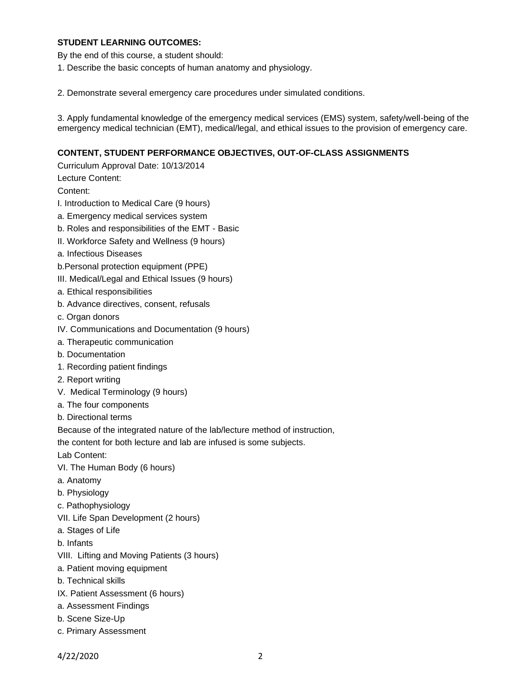### **STUDENT LEARNING OUTCOMES:**

By the end of this course, a student should:

1. Describe the basic concepts of human anatomy and physiology.

2. Demonstrate several emergency care procedures under simulated conditions.

3. Apply fundamental knowledge of the emergency medical services (EMS) system, safety/well-being of the emergency medical technician (EMT), medical/legal, and ethical issues to the provision of emergency care.

### **CONTENT, STUDENT PERFORMANCE OBJECTIVES, OUT-OF-CLASS ASSIGNMENTS**

Curriculum Approval Date: 10/13/2014

Lecture Content:

Content:

- I. Introduction to Medical Care (9 hours)
- a. Emergency medical services system
- b. Roles and responsibilities of the EMT Basic
- II. Workforce Safety and Wellness (9 hours)
- a. Infectious Diseases
- b.Personal protection equipment (PPE)
- III. Medical/Legal and Ethical Issues (9 hours)
- a. Ethical responsibilities
- b. Advance directives, consent, refusals
- c. Organ donors
- IV. Communications and Documentation (9 hours)
- a. Therapeutic communication
- b. Documentation
- 1. Recording patient findings
- 2. Report writing
- V. Medical Terminology (9 hours)
- a. The four components
- b. Directional terms

Because of the integrated nature of the lab/lecture method of instruction,

the content for both lecture and lab are infused is some subjects.

Lab Content:

- VI. The Human Body (6 hours)
- a. Anatomy
- b. Physiology
- c. Pathophysiology
- VII. Life Span Development (2 hours)
- a. Stages of Life
- b. Infants
- VIII. Lifting and Moving Patients (3 hours)
- a. Patient moving equipment
- b. Technical skills
- IX. Patient Assessment (6 hours)
- a. Assessment Findings
- b. Scene Size-Up
- c. Primary Assessment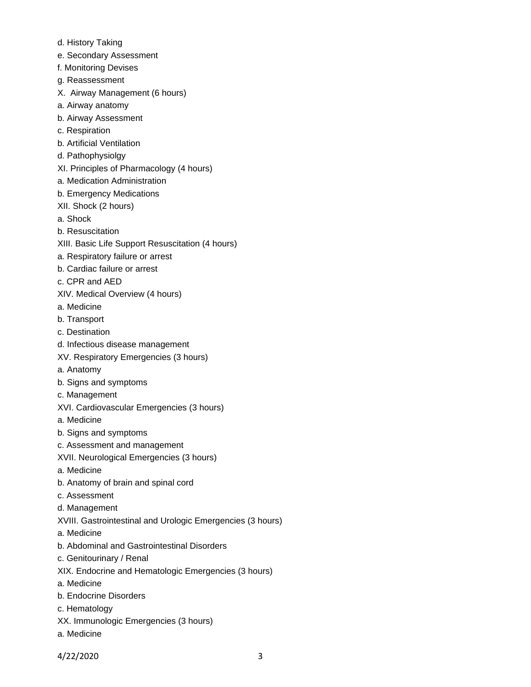- d. History Taking
- e. Secondary Assessment
- f. Monitoring Devises
- g. Reassessment
- X. Airway Management (6 hours)
- a. Airway anatomy
- b. Airway Assessment
- c. Respiration
- b. Artificial Ventilation
- d. Pathophysiolgy
- XI. Principles of Pharmacology (4 hours)
- a. Medication Administration
- b. Emergency Medications
- XII. Shock (2 hours)
- a. Shock
- b. Resuscitation
- XIII. Basic Life Support Resuscitation (4 hours)
- a. Respiratory failure or arrest
- b. Cardiac failure or arrest
- c. CPR and AED
- XIV. Medical Overview (4 hours)
- a. Medicine
- b. Transport
- c. Destination
- d. Infectious disease management
- XV. Respiratory Emergencies (3 hours)
- a. Anatomy
- b. Signs and symptoms
- c. Management
- XVI. Cardiovascular Emergencies (3 hours)
- a. Medicine
- b. Signs and symptoms
- c. Assessment and management
- XVII. Neurological Emergencies (3 hours)
- a. Medicine
- b. Anatomy of brain and spinal cord
- c. Assessment
- d. Management
- XVIII. Gastrointestinal and Urologic Emergencies (3 hours)
- a. Medicine
- b. Abdominal and Gastrointestinal Disorders
- c. Genitourinary / Renal
- XIX. Endocrine and Hematologic Emergencies (3 hours)
- a. Medicine
- b. Endocrine Disorders
- c. Hematology
- XX. Immunologic Emergencies (3 hours)
- a. Medicine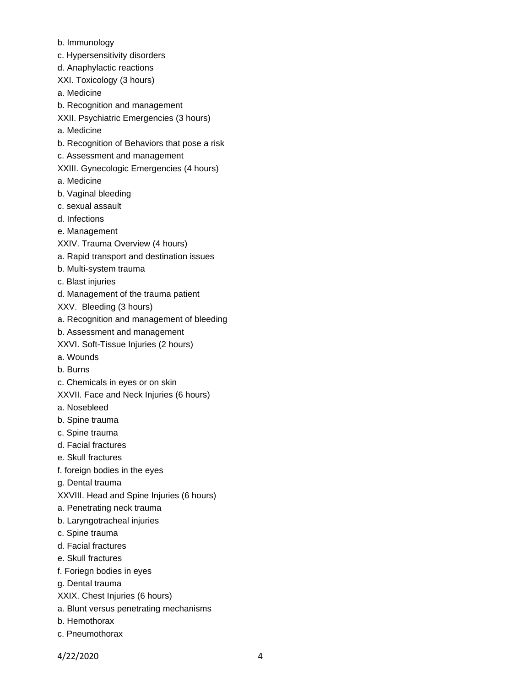- b. Immunology
- c. Hypersensitivity disorders
- d. Anaphylactic reactions
- XXI. Toxicology (3 hours)
- a. Medicine
- b. Recognition and management
- XXII. Psychiatric Emergencies (3 hours)
- a. Medicine
- b. Recognition of Behaviors that pose a risk
- c. Assessment and management
- XXIII. Gynecologic Emergencies (4 hours)
- a. Medicine
- b. Vaginal bleeding
- c. sexual assault
- d. Infections
- e. Management
- XXIV. Trauma Overview (4 hours)
- a. Rapid transport and destination issues
- b. Multi-system trauma
- c. Blast injuries
- d. Management of the trauma patient
- XXV. Bleeding (3 hours)
- a. Recognition and management of bleeding
- b. Assessment and management
- XXVI. Soft-Tissue Injuries (2 hours)
- a. Wounds
- b. Burns
- c. Chemicals in eyes or on skin
- XXVII. Face and Neck Injuries (6 hours)
- a. Nosebleed
- b. Spine trauma
- c. Spine trauma
- d. Facial fractures
- e. Skull fractures
- f. foreign bodies in the eyes
- g. Dental trauma
- XXVIII. Head and Spine Injuries (6 hours)
- a. Penetrating neck trauma
- b. Laryngotracheal injuries
- c. Spine trauma
- d. Facial fractures
- e. Skull fractures
- f. Foriegn bodies in eyes
- g. Dental trauma
- XXIX. Chest Injuries (6 hours)
- a. Blunt versus penetrating mechanisms
- b. Hemothorax
- c. Pneumothorax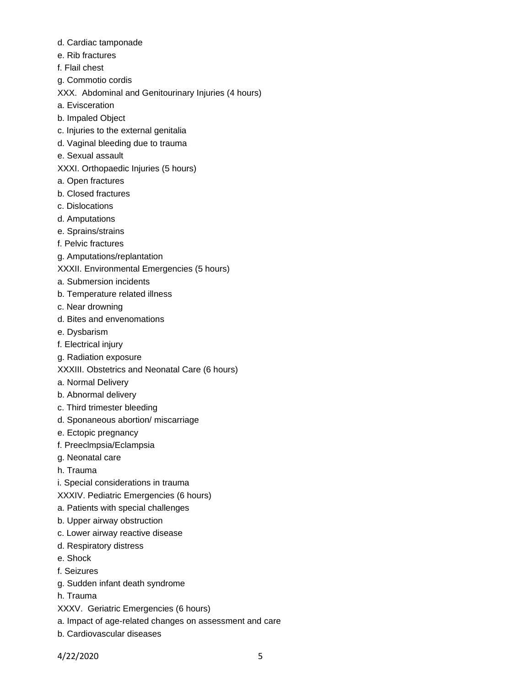- d. Cardiac tamponade
- e. Rib fractures
- f. Flail chest
- g. Commotio cordis
- XXX. Abdominal and Genitourinary Injuries (4 hours)
- a. Evisceration
- b. Impaled Object
- c. Injuries to the external genitalia
- d. Vaginal bleeding due to trauma
- e. Sexual assault
- XXXI. Orthopaedic Injuries (5 hours)
- a. Open fractures
- b. Closed fractures
- c. Dislocations
- d. Amputations
- e. Sprains/strains
- f. Pelvic fractures
- g. Amputations/replantation
- XXXII. Environmental Emergencies (5 hours)
- a. Submersion incidents
- b. Temperature related illness
- c. Near drowning
- d. Bites and envenomations
- e. Dysbarism
- f. Electrical injury
- g. Radiation exposure
- XXXIII. Obstetrics and Neonatal Care (6 hours)
- a. Normal Delivery
- b. Abnormal delivery
- c. Third trimester bleeding
- d. Sponaneous abortion/ miscarriage
- e. Ectopic pregnancy
- f. Preeclmpsia/Eclampsia
- g. Neonatal care
- h. Trauma
- i. Special considerations in trauma
- XXXIV. Pediatric Emergencies (6 hours)
- a. Patients with special challenges
- b. Upper airway obstruction
- c. Lower airway reactive disease
- d. Respiratory distress
- e. Shock
- f. Seizures
- g. Sudden infant death syndrome
- h. Trauma
- XXXV. Geriatric Emergencies (6 hours)
- a. Impact of age-related changes on assessment and care
- b. Cardiovascular diseases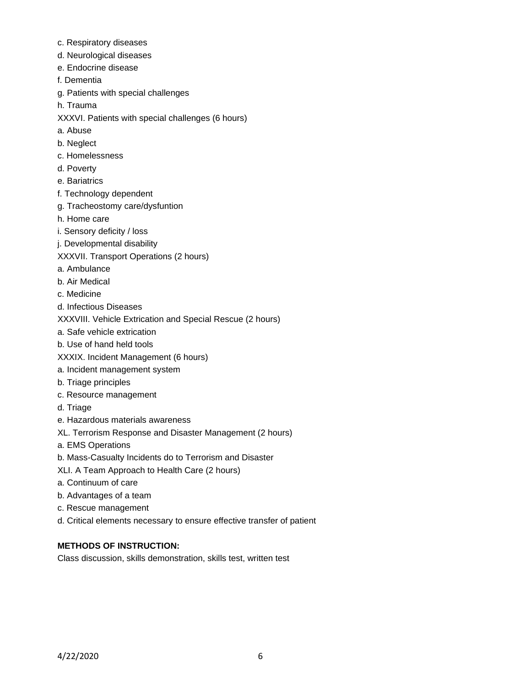- c. Respiratory diseases
- d. Neurological diseases
- e. Endocrine disease
- f. Dementia
- g. Patients with special challenges
- h. Trauma
- XXXVI. Patients with special challenges (6 hours)
- a. Abuse
- b. Neglect
- c. Homelessness
- d. Poverty
- e. Bariatrics
- f. Technology dependent
- g. Tracheostomy care/dysfuntion
- h. Home care
- i. Sensory deficity / loss
- j. Developmental disability
- XXXVII. Transport Operations (2 hours)
- a. Ambulance
- b. Air Medical
- c. Medicine
- d. Infectious Diseases
- XXXVIII. Vehicle Extrication and Special Rescue (2 hours)
- a. Safe vehicle extrication
- b. Use of hand held tools
- XXXIX. Incident Management (6 hours)
- a. Incident management system
- b. Triage principles
- c. Resource management
- d. Triage
- e. Hazardous materials awareness
- XL. Terrorism Response and Disaster Management (2 hours)
- a. EMS Operations
- b. Mass-Casualty Incidents do to Terrorism and Disaster
- XLI. A Team Approach to Health Care (2 hours)
- a. Continuum of care
- b. Advantages of a team
- c. Rescue management
- d. Critical elements necessary to ensure effective transfer of patient

# **METHODS OF INSTRUCTION:**

Class discussion, skills demonstration, skills test, written test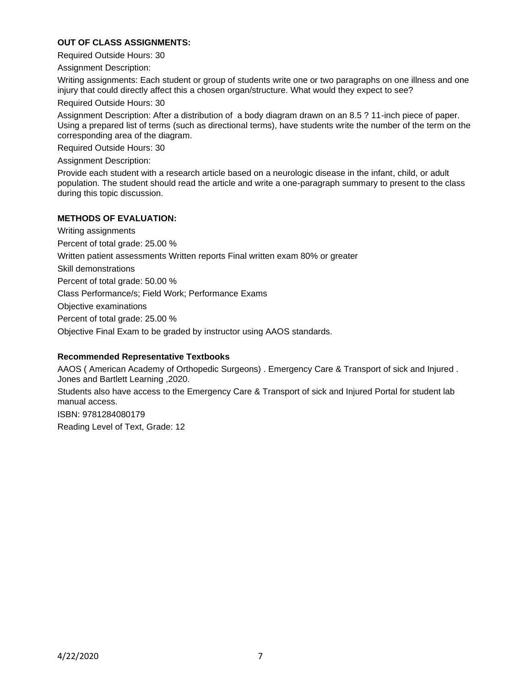## **OUT OF CLASS ASSIGNMENTS:**

Required Outside Hours: 30

Assignment Description:

Writing assignments: Each student or group of students write one or two paragraphs on one illness and one injury that could directly affect this a chosen organ/structure. What would they expect to see?

Required Outside Hours: 30

Assignment Description: After a distribution of a body diagram drawn on an 8.5 ? 11-inch piece of paper. Using a prepared list of terms (such as directional terms), have students write the number of the term on the corresponding area of the diagram.

Required Outside Hours: 30

Assignment Description:

Provide each student with a research article based on a neurologic disease in the infant, child, or adult population. The student should read the article and write a one-paragraph summary to present to the class during this topic discussion.

### **METHODS OF EVALUATION:**

Writing assignments Percent of total grade: 25.00 %

Written patient assessments Written reports Final written exam 80% or greater

Skill demonstrations

Percent of total grade: 50.00 %

Class Performance/s; Field Work; Performance Exams

Objective examinations

Percent of total grade: 25.00 %

Objective Final Exam to be graded by instructor using AAOS standards.

### **Recommended Representative Textbooks**

AAOS ( American Academy of Orthopedic Surgeons) . Emergency Care & Transport of sick and Injured . Jones and Bartlett Learning ,2020.

Students also have access to the Emergency Care & Transport of sick and Injured Portal for student lab manual access.

ISBN: 9781284080179 Reading Level of Text, Grade: 12